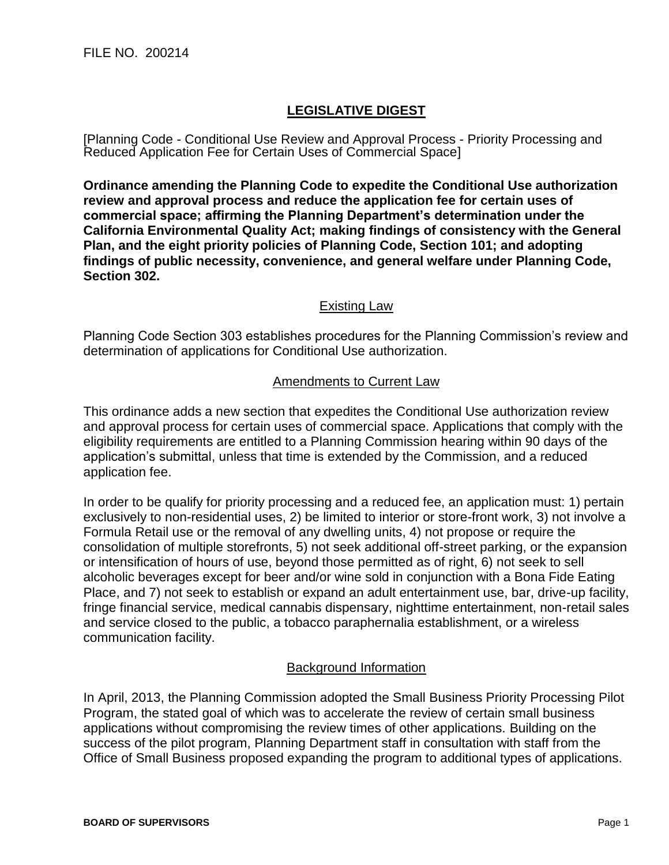## **LEGISLATIVE DIGEST**

[Planning Code - Conditional Use Review and Approval Process - Priority Processing and Reduced Application Fee for Certain Uses of Commercial Space]

**Ordinance amending the Planning Code to expedite the Conditional Use authorization review and approval process and reduce the application fee for certain uses of commercial space; affirming the Planning Department's determination under the California Environmental Quality Act; making findings of consistency with the General Plan, and the eight priority policies of Planning Code, Section 101; and adopting findings of public necessity, convenience, and general welfare under Planning Code, Section 302.**

## Existing Law

Planning Code Section 303 establishes procedures for the Planning Commission's review and determination of applications for Conditional Use authorization.

## Amendments to Current Law

This ordinance adds a new section that expedites the Conditional Use authorization review and approval process for certain uses of commercial space. Applications that comply with the eligibility requirements are entitled to a Planning Commission hearing within 90 days of the application's submittal, unless that time is extended by the Commission, and a reduced application fee.

In order to be qualify for priority processing and a reduced fee, an application must: 1) pertain exclusively to non-residential uses, 2) be limited to interior or store-front work, 3) not involve a Formula Retail use or the removal of any dwelling units, 4) not propose or require the consolidation of multiple storefronts, 5) not seek additional off-street parking, or the expansion or intensification of hours of use, beyond those permitted as of right, 6) not seek to sell alcoholic beverages except for beer and/or wine sold in conjunction with a Bona Fide Eating Place, and 7) not seek to establish or expand an adult entertainment use, bar, drive-up facility, fringe financial service, medical cannabis dispensary, nighttime entertainment, non-retail sales and service closed to the public, a tobacco paraphernalia establishment, or a wireless communication facility.

## Background Information

In April, 2013, the Planning Commission adopted the Small Business Priority Processing Pilot Program, the stated goal of which was to accelerate the review of certain small business applications without compromising the review times of other applications. Building on the success of the pilot program, Planning Department staff in consultation with staff from the Office of Small Business proposed expanding the program to additional types of applications.